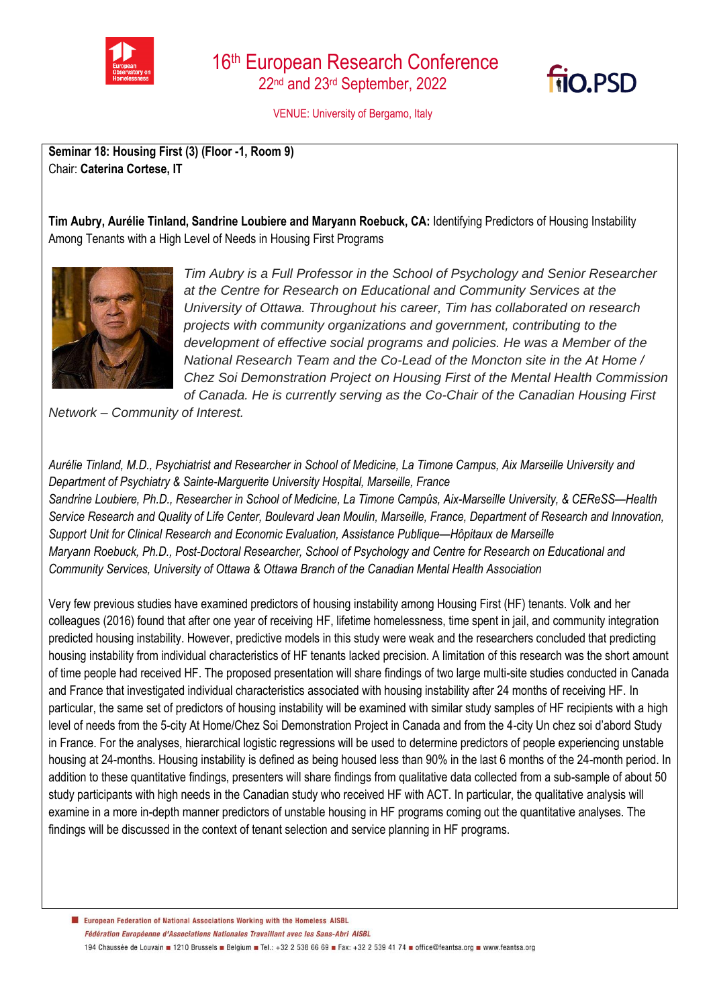



VENUE: University of Bergamo, Italy

**Seminar 18: Housing First (3) (Floor -1, Room 9)** Chair: **Caterina Cortese, IT**

**Tim Aubry, Aurélie Tinland, Sandrine Loubiere and Maryann Roebuck, CA:** Identifying Predictors of Housing Instability Among Tenants with a High Level of Needs in Housing First Programs



*Tim Aubry is a Full Professor in the School of Psychology and Senior Researcher at the Centre for Research on Educational and Community Services at the University of Ottawa. Throughout his career, Tim has collaborated on research projects with community organizations and government, contributing to the development of effective social programs and policies. He was a Member of the National Research Team and the Co-Lead of the Moncton site in the At Home / Chez Soi Demonstration Project on Housing First of the Mental Health Commission of Canada. He is currently serving as the Co-Chair of the Canadian Housing First* 

*Network – Community of Interest.*

*Aurélie Tinland, M.D., Psychiatrist and Researcher in School of Medicine, La Timone Campus, Aix Marseille University and Department of Psychiatry & Sainte-Marguerite University Hospital, Marseille, France Sandrine Loubiere, Ph.D., Researcher in School of Medicine, La Timone Campûs, Aix-Marseille University, & CEReSS—Health Service Research and Quality of Life Center, Boulevard Jean Moulin, Marseille, France, Department of Research and Innovation, Support Unit for Clinical Research and Economic Evaluation, Assistance Publique—Hôpitaux de Marseille Maryann Roebuck, Ph.D., Post-Doctoral Researcher, School of Psychology and Centre for Research on Educational and Community Services, University of Ottawa & Ottawa Branch of the Canadian Mental Health Association*

Very few previous studies have examined predictors of housing instability among Housing First (HF) tenants. Volk and her colleagues (2016) found that after one year of receiving HF, lifetime homelessness, time spent in jail, and community integration predicted housing instability. However, predictive models in this study were weak and the researchers concluded that predicting housing instability from individual characteristics of HF tenants lacked precision. A limitation of this research was the short amount of time people had received HF. The proposed presentation will share findings of two large multi-site studies conducted in Canada and France that investigated individual characteristics associated with housing instability after 24 months of receiving HF. In particular, the same set of predictors of housing instability will be examined with similar study samples of HF recipients with a high level of needs from the 5-city At Home/Chez Soi Demonstration Project in Canada and from the 4-city Un chez soi d'abord Study in France. For the analyses, hierarchical logistic regressions will be used to determine predictors of people experiencing unstable housing at 24-months. Housing instability is defined as being housed less than 90% in the last 6 months of the 24-month period. In addition to these quantitative findings, presenters will share findings from qualitative data collected from a sub-sample of about 50 study participants with high needs in the Canadian study who received HF with ACT. In particular, the qualitative analysis will examine in a more in-depth manner predictors of unstable housing in HF programs coming out the quantitative analyses. The findings will be discussed in the context of tenant selection and service planning in HF programs.

European Federation of National Associations Working with the Homeless AISBL Fédération Européenne d'Associations Nationales Travaillant avec les Sans-Abri AISBL 194 Chaussée de Louvain 1210 Brussels Belgium B Tel.: +32 2 538 66 69 B Fax: +32 2 539 41 74 B office@feantsa.org B www.feantsa.org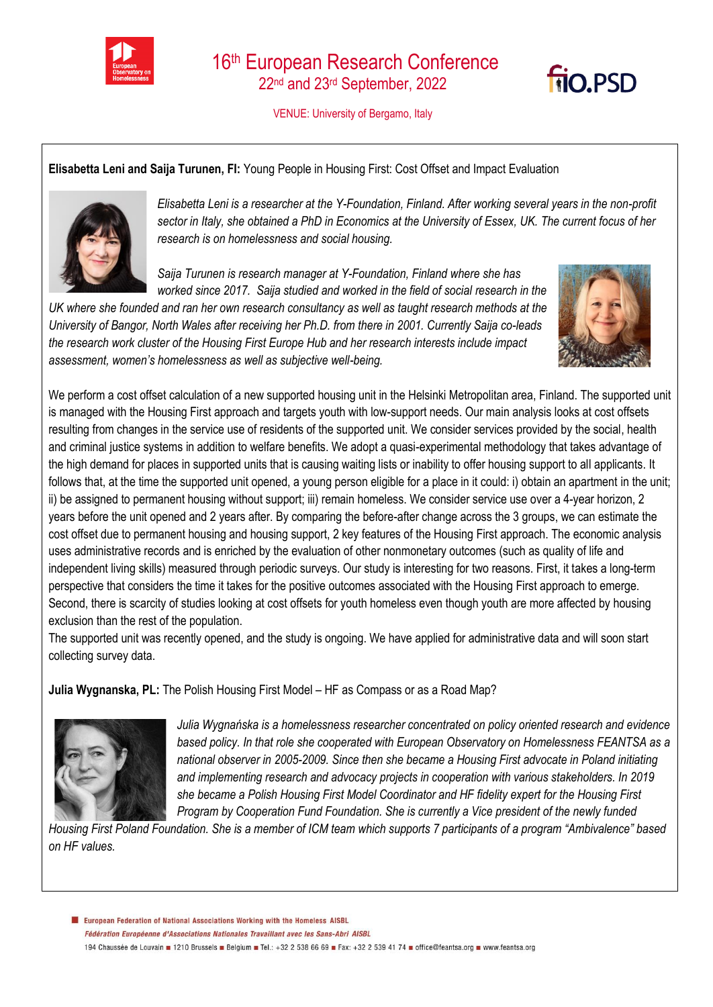

VENUE: University of Bergamo, Italy

## **Elisabetta Leni and Saija Turunen, FI:** Young People in Housing First: Cost Offset and Impact Evaluation



*Elisabetta Leni is a researcher at the Y-Foundation, Finland. After working several years in the non-profit sector in Italy, she obtained a PhD in Economics at the University of Essex, UK. The current focus of her research is on homelessness and social housing.*

*Saija Turunen is research manager at Y-Foundation, Finland where she has worked since 2017. Saija studied and worked in the field of social research in the* 

*UK where she founded and ran her own research consultancy as well as taught research methods at the University of Bangor, North Wales after receiving her Ph.D. from there in 2001. Currently Saija co-leads the research work cluster of the Housing First Europe Hub and her research interests include impact assessment, women's homelessness as well as subjective well-being.*



**FIO.PSD** 

We perform a cost offset calculation of a new supported housing unit in the Helsinki Metropolitan area, Finland. The supported unit is managed with the Housing First approach and targets youth with low-support needs. Our main analysis looks at cost offsets resulting from changes in the service use of residents of the supported unit. We consider services provided by the social, health and criminal justice systems in addition to welfare benefits. We adopt a quasi-experimental methodology that takes advantage of the high demand for places in supported units that is causing waiting lists or inability to offer housing support to all applicants. It follows that, at the time the supported unit opened, a young person eligible for a place in it could: i) obtain an apartment in the unit; ii) be assigned to permanent housing without support; iii) remain homeless. We consider service use over a 4-year horizon, 2 years before the unit opened and 2 years after. By comparing the before-after change across the 3 groups, we can estimate the cost offset due to permanent housing and housing support, 2 key features of the Housing First approach. The economic analysis uses administrative records and is enriched by the evaluation of other nonmonetary outcomes (such as quality of life and independent living skills) measured through periodic surveys. Our study is interesting for two reasons. First, it takes a long-term perspective that considers the time it takes for the positive outcomes associated with the Housing First approach to emerge. Second, there is scarcity of studies looking at cost offsets for youth homeless even though youth are more affected by housing exclusion than the rest of the population.

The supported unit was recently opened, and the study is ongoing. We have applied for administrative data and will soon start collecting survey data.

**Julia Wygnanska, PL:** The Polish Housing First Model – HF as Compass or as a Road Map?



*Julia Wygnańska is a homelessness researcher concentrated on policy oriented research and evidence based policy. In that role she cooperated with European Observatory on Homelessness FEANTSA as a national observer in 2005-2009. Since then she became a Housing First advocate in Poland initiating and implementing research and advocacy projects in cooperation with various stakeholders. In 2019 she became a Polish Housing First Model Coordinator and HF fidelity expert for the Housing First Program by Cooperation Fund Foundation. She is currently a Vice president of the newly funded* 

*Housing First Poland Foundation. She is a member of ICM team which supports 7 participants of a program "Ambivalence" based on HF values.*

European Federation of National Associations Working with the Homeless AISBL Fédération Européenne d'Associations Nationales Travaillant avec les Sans-Abri AISBL 194 Chaussée de Louvain 1210 Brussels Belgium B Tel.: +32 2 538 66 69 B Fax: +32 2 539 41 74 B office@feantsa.org B www.feantsa.org